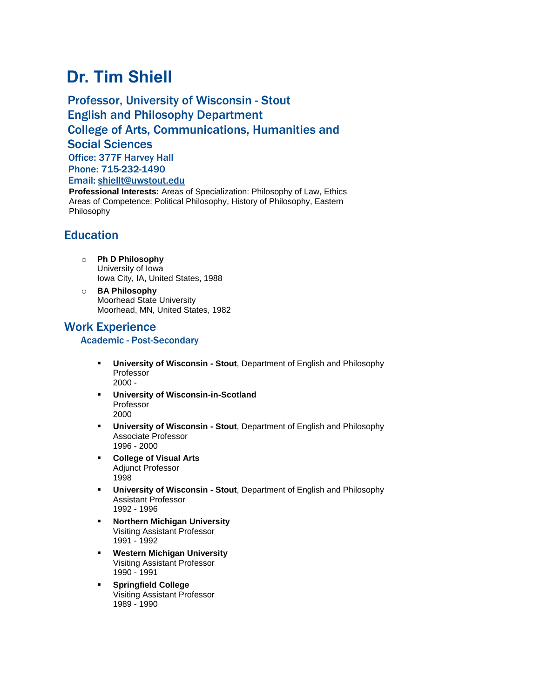# **Dr. Tim Shiell**

Professor, University of Wisconsin - Stout English and Philosophy Department College of Arts, Communications, Humanities and Social Sciences Office: 377F Harvey Hall Phone: 715-232-1490

Email: [shiellt@uwstout.edu](mailto:shiellt@uwstout.edu)

**Professional Interests:** Areas of Specialization: Philosophy of Law, Ethics Areas of Competence: Political Philosophy, History of Philosophy, Eastern Philosophy

# **Education**

- o **Ph D Philosophy** University of Iowa Iowa City, IA, United States, 1988
- o **BA Philosophy** Moorhead State University Moorhead, MN, United States, 1982

# Work Experience

# Academic - Post-Secondary

- **University of Wisconsin - Stout**, Department of English and Philosophy Professor 2000 -
- **University of Wisconsin-in-Scotland** Professor 2000
- **University of Wisconsin - Stout**, Department of English and Philosophy Associate Professor 1996 - 2000
- **College of Visual Arts** Adjunct Professor 1998
- **University of Wisconsin - Stout**, Department of English and Philosophy Assistant Professor 1992 - 1996
- **Northern Michigan University** Visiting Assistant Professor 1991 - 1992
- **Western Michigan University** Visiting Assistant Professor 1990 - 1991
- **Springfield College** Visiting Assistant Professor 1989 - 1990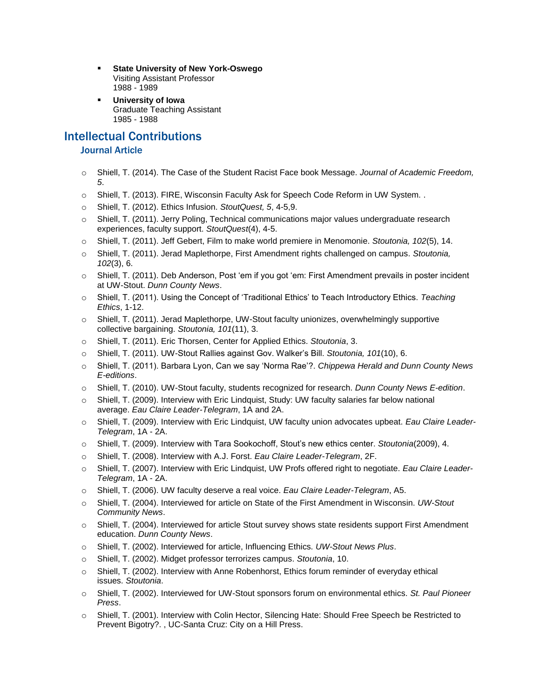- **State University of New York-Oswego** Visiting Assistant Professor 1988 - 1989
- **University of Iowa** Graduate Teaching Assistant 1985 - 1988

# Intellectual Contributions

## Journal Article

- o Shiell, T. (2014). The Case of the Student Racist Face book Message. *Journal of Academic Freedom, 5*.
- o Shiell, T. (2013). FIRE, Wisconsin Faculty Ask for Speech Code Reform in UW System. .
- o Shiell, T. (2012). Ethics Infusion. *StoutQuest, 5*, 4-5,9.
- o Shiell, T. (2011). Jerry Poling, Technical communications major values undergraduate research experiences, faculty support. *StoutQuest*(4), 4-5.
- o Shiell, T. (2011). Jeff Gebert, Film to make world premiere in Menomonie. *Stoutonia, 102*(5), 14.
- o Shiell, T. (2011). Jerad Maplethorpe, First Amendment rights challenged on campus. *Stoutonia, 102*(3), 6.
- o Shiell, T. (2011). Deb Anderson, Post 'em if you got 'em: First Amendment prevails in poster incident at UW-Stout. *Dunn County News*.
- o Shiell, T. (2011). Using the Concept of 'Traditional Ethics' to Teach Introductory Ethics. *Teaching Ethics*, 1-12.
- o Shiell, T. (2011). Jerad Maplethorpe, UW-Stout faculty unionizes, overwhelmingly supportive collective bargaining. *Stoutonia, 101*(11), 3.
- o Shiell, T. (2011). Eric Thorsen, Center for Applied Ethics. *Stoutonia*, 3.
- o Shiell, T. (2011). UW-Stout Rallies against Gov. Walker's Bill. *Stoutonia, 101*(10), 6.
- o Shiell, T. (2011). Barbara Lyon, Can we say 'Norma Rae'?. *Chippewa Herald and Dunn County News E-editions*.
- o Shiell, T. (2010). UW-Stout faculty, students recognized for research. *Dunn County News E-edition*.
- o Shiell, T. (2009). Interview with Eric Lindquist, Study: UW faculty salaries far below national average. *Eau Claire Leader-Telegram*, 1A and 2A.
- o Shiell, T. (2009). Interview with Eric Lindquist, UW faculty union advocates upbeat. *Eau Claire Leader-Telegram*, 1A - 2A.
- o Shiell, T. (2009). Interview with Tara Sookochoff, Stout's new ethics center. *Stoutonia*(2009), 4.
- o Shiell, T. (2008). Interview with A.J. Forst. *Eau Claire Leader-Telegram*, 2F.
- o Shiell, T. (2007). Interview with Eric Lindquist, UW Profs offered right to negotiate. *Eau Claire Leader-Telegram*, 1A - 2A.
- o Shiell, T. (2006). UW faculty deserve a real voice. *Eau Claire Leader-Telegram*, A5.
- o Shiell, T. (2004). Interviewed for article on State of the First Amendment in Wisconsin. *UW-Stout Community News*.
- o Shiell, T. (2004). Interviewed for article Stout survey shows state residents support First Amendment education. *Dunn County News*.
- o Shiell, T. (2002). Interviewed for article, Influencing Ethics. *UW-Stout News Plus*.
- o Shiell, T. (2002). Midget professor terrorizes campus. *Stoutonia*, 10.
- $\circ$  Shiell, T. (2002). Interview with Anne Robenhorst, Ethics forum reminder of everyday ethical issues. *Stoutonia*.
- o Shiell, T. (2002). Interviewed for UW-Stout sponsors forum on environmental ethics. *St. Paul Pioneer Press*.
- o Shiell, T. (2001). Interview with Colin Hector, Silencing Hate: Should Free Speech be Restricted to Prevent Bigotry?. , UC-Santa Cruz: City on a Hill Press.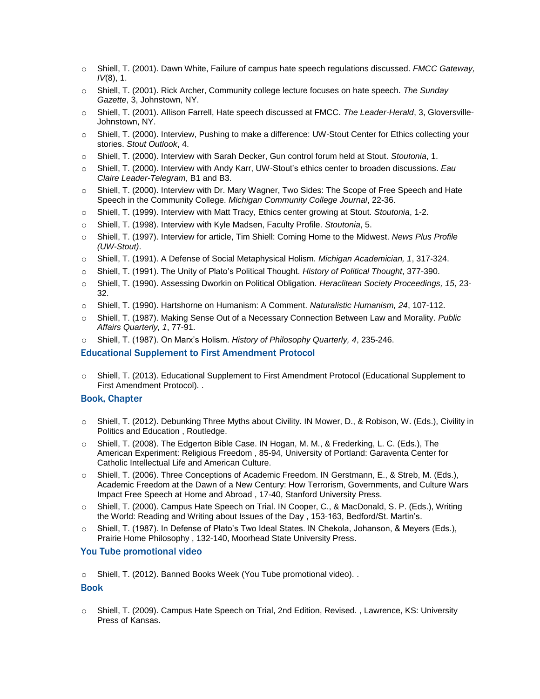- o Shiell, T. (2001). Dawn White, Failure of campus hate speech regulations discussed. *FMCC Gateway, IV*(8), 1.
- o Shiell, T. (2001). Rick Archer, Community college lecture focuses on hate speech. *The Sunday Gazette*, 3, Johnstown, NY.
- o Shiell, T. (2001). Allison Farrell, Hate speech discussed at FMCC. *The Leader-Herald*, 3, Gloversville-Johnstown, NY.
- o Shiell, T. (2000). Interview, Pushing to make a difference: UW-Stout Center for Ethics collecting your stories. *Stout Outlook*, 4.
- o Shiell, T. (2000). Interview with Sarah Decker, Gun control forum held at Stout. *Stoutonia*, 1.
- o Shiell, T. (2000). Interview with Andy Karr, UW-Stout's ethics center to broaden discussions. *Eau Claire Leader-Telegram*, B1 and B3.
- o Shiell, T. (2000). Interview with Dr. Mary Wagner, Two Sides: The Scope of Free Speech and Hate Speech in the Community College. *Michigan Community College Journal*, 22-36.
- o Shiell, T. (1999). Interview with Matt Tracy, Ethics center growing at Stout. *Stoutonia*, 1-2.
- o Shiell, T. (1998). Interview with Kyle Madsen, Faculty Profile. *Stoutonia*, 5.
- o Shiell, T. (1997). Interview for article, Tim Shiell: Coming Home to the Midwest. *News Plus Profile (UW-Stout)*.
- o Shiell, T. (1991). A Defense of Social Metaphysical Holism. *Michigan Academician, 1*, 317-324.
- o Shiell, T. (1991). The Unity of Plato's Political Thought. *History of Political Thought*, 377-390.
- o Shiell, T. (1990). Assessing Dworkin on Political Obligation. *Heraclitean Society Proceedings, 15*, 23- 32.
- o Shiell, T. (1990). Hartshorne on Humanism: A Comment. *Naturalistic Humanism, 24*, 107-112.
- o Shiell, T. (1987). Making Sense Out of a Necessary Connection Between Law and Morality. *Public Affairs Quarterly, 1*, 77-91.
- o Shiell, T. (1987). On Marx's Holism. *History of Philosophy Quarterly, 4*, 235-246.

#### Educational Supplement to First Amendment Protocol

o Shiell, T. (2013). Educational Supplement to First Amendment Protocol (Educational Supplement to First Amendment Protocol). .

#### Book, Chapter

- o Shiell, T. (2012). Debunking Three Myths about Civility. IN Mower, D., & Robison, W. (Eds.), Civility in Politics and Education , Routledge.
- o Shiell, T. (2008). The Edgerton Bible Case. IN Hogan, M. M., & Frederking, L. C. (Eds.), The American Experiment: Religious Freedom , 85-94, University of Portland: Garaventa Center for Catholic Intellectual Life and American Culture.
- o Shiell, T. (2006). Three Conceptions of Academic Freedom. IN Gerstmann, E., & Streb, M. (Eds.), Academic Freedom at the Dawn of a New Century: How Terrorism, Governments, and Culture Wars Impact Free Speech at Home and Abroad , 17-40, Stanford University Press.
- o Shiell, T. (2000). Campus Hate Speech on Trial. IN Cooper, C., & MacDonald, S. P. (Eds.), Writing the World: Reading and Writing about Issues of the Day , 153-163, Bedford/St. Martin's.
- o Shiell, T. (1987). In Defense of Plato's Two Ideal States. IN Chekola, Johanson, & Meyers (Eds.), Prairie Home Philosophy , 132-140, Moorhead State University Press.

#### You Tube promotional video

o Shiell, T. (2012). Banned Books Week (You Tube promotional video). .

#### Book

o Shiell, T. (2009). Campus Hate Speech on Trial, 2nd Edition, Revised. , Lawrence, KS: University Press of Kansas.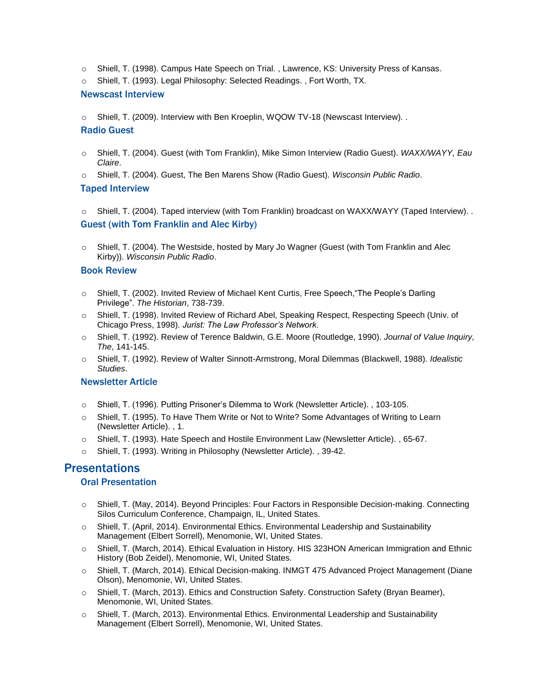- o Shiell, T. (1998). Campus Hate Speech on Trial. , Lawrence, KS: University Press of Kansas.
- o Shiell, T. (1993). Legal Philosophy: Selected Readings. , Fort Worth, TX.

#### Newscast Interview

o Shiell, T. (2009). Interview with Ben Kroeplin, WQOW TV-18 (Newscast Interview). .

#### Radio Guest

- o Shiell, T. (2004). Guest (with Tom Franklin), Mike Simon Interview (Radio Guest). *WAXX/WAYY, Eau Claire*.
- o Shiell, T. (2004). Guest, The Ben Marens Show (Radio Guest). *Wisconsin Public Radio*.

#### Taped Interview

o Shiell, T. (2004). Taped interview (with Tom Franklin) broadcast on WAXX/WAYY (Taped Interview). . Guest (with Tom Franklin and Alec Kirby)

o Shiell, T. (2004). The Westside, hosted by Mary Jo Wagner (Guest (with Tom Franklin and Alec Kirby)). *Wisconsin Public Radio*.

#### Book Review

- o Shiell, T. (2002). Invited Review of Michael Kent Curtis, Free Speech,"The People's Darling Privilege". *The Historian*, 738-739.
- o Shiell, T. (1998). Invited Review of Richard Abel, Speaking Respect, Respecting Speech (Univ. of Chicago Press, 1998). *Jurist: The Law Professor's Network*.
- o Shiell, T. (1992). Review of Terence Baldwin, G.E. Moore (Routledge, 1990). *Journal of Value Inquiry, The*, 141-145.
- o Shiell, T. (1992). Review of Walter Sinnott-Armstrong, Moral Dilemmas (Blackwell, 1988). *Idealistic Studies*.

#### Newsletter Article

- o Shiell, T. (1996). Putting Prisoner's Dilemma to Work (Newsletter Article). , 103-105.
- o Shiell, T. (1995). To Have Them Write or Not to Write? Some Advantages of Writing to Learn (Newsletter Article). , 1.
- o Shiell, T. (1993). Hate Speech and Hostile Environment Law (Newsletter Article). , 65-67.
- o Shiell, T. (1993). Writing in Philosophy (Newsletter Article). , 39-42.

# Presentations

#### Oral Presentation

- o Shiell, T. (May, 2014). Beyond Principles: Four Factors in Responsible Decision-making. Connecting Silos Curriculum Conference, Champaign, IL, United States.
- o Shiell, T. (April, 2014). Environmental Ethics. Environmental Leadership and Sustainability Management (Elbert Sorrell), Menomonie, WI, United States.
- o Shiell, T. (March, 2014). Ethical Evaluation in History. HIS 323HON American Immigration and Ethnic History (Bob Zeidel), Menomonie, WI, United States.
- o Shiell, T. (March, 2014). Ethical Decision-making. INMGT 475 Advanced Project Management (Diane Olson), Menomonie, WI, United States.
- o Shiell, T. (March, 2013). Ethics and Construction Safety. Construction Safety (Bryan Beamer), Menomonie, WI, United States.
- $\circ$  Shiell, T. (March, 2013). Environmental Ethics. Environmental Leadership and Sustainability Management (Elbert Sorrell), Menomonie, WI, United States.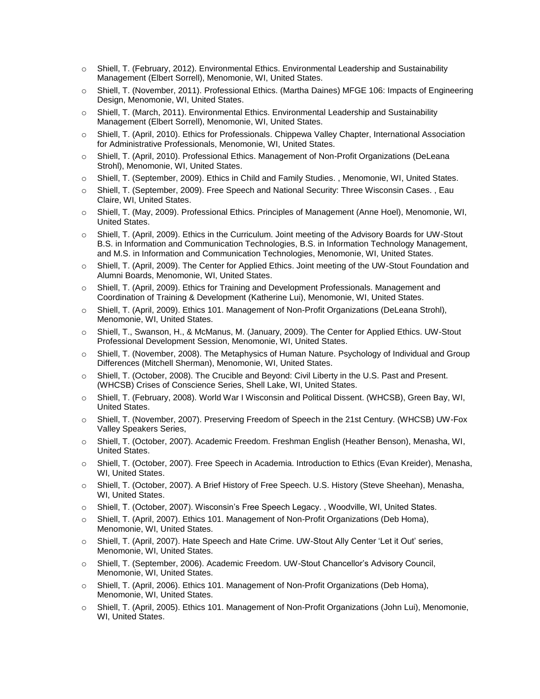- o Shiell, T. (February, 2012). Environmental Ethics. Environmental Leadership and Sustainability Management (Elbert Sorrell), Menomonie, WI, United States.
- o Shiell, T. (November, 2011). Professional Ethics. (Martha Daines) MFGE 106: Impacts of Engineering Design, Menomonie, WI, United States.
- o Shiell, T. (March, 2011). Environmental Ethics. Environmental Leadership and Sustainability Management (Elbert Sorrell), Menomonie, WI, United States.
- o Shiell, T. (April, 2010). Ethics for Professionals. Chippewa Valley Chapter, International Association for Administrative Professionals, Menomonie, WI, United States.
- o Shiell, T. (April, 2010). Professional Ethics. Management of Non-Profit Organizations (DeLeana Strohl), Menomonie, WI, United States.
- o Shiell, T. (September, 2009). Ethics in Child and Family Studies. , Menomonie, WI, United States.
- o Shiell, T. (September, 2009). Free Speech and National Security: Three Wisconsin Cases. , Eau Claire, WI, United States.
- o Shiell, T. (May, 2009). Professional Ethics. Principles of Management (Anne Hoel), Menomonie, WI, United States.
- o Shiell, T. (April, 2009). Ethics in the Curriculum. Joint meeting of the Advisory Boards for UW-Stout B.S. in Information and Communication Technologies, B.S. in Information Technology Management, and M.S. in Information and Communication Technologies, Menomonie, WI, United States.
- o Shiell, T. (April, 2009). The Center for Applied Ethics. Joint meeting of the UW-Stout Foundation and Alumni Boards, Menomonie, WI, United States.
- o Shiell, T. (April, 2009). Ethics for Training and Development Professionals. Management and Coordination of Training & Development (Katherine Lui), Menomonie, WI, United States.
- o Shiell, T. (April, 2009). Ethics 101. Management of Non-Profit Organizations (DeLeana Strohl), Menomonie, WI, United States.
- o Shiell, T., Swanson, H., & McManus, M. (January, 2009). The Center for Applied Ethics. UW-Stout Professional Development Session, Menomonie, WI, United States.
- o Shiell, T. (November, 2008). The Metaphysics of Human Nature. Psychology of Individual and Group Differences (Mitchell Sherman), Menomonie, WI, United States.
- o Shiell, T. (October, 2008). The Crucible and Beyond: Civil Liberty in the U.S. Past and Present. (WHCSB) Crises of Conscience Series, Shell Lake, WI, United States.
- o Shiell, T. (February, 2008). World War I Wisconsin and Political Dissent. (WHCSB), Green Bay, WI, United States.
- o Shiell, T. (November, 2007). Preserving Freedom of Speech in the 21st Century. (WHCSB) UW-Fox Valley Speakers Series,
- o Shiell, T. (October, 2007). Academic Freedom. Freshman English (Heather Benson), Menasha, WI, United States.
- o Shiell, T. (October, 2007). Free Speech in Academia. Introduction to Ethics (Evan Kreider), Menasha, WI, United States.
- o Shiell, T. (October, 2007). A Brief History of Free Speech. U.S. History (Steve Sheehan), Menasha, WI, United States.
- o Shiell, T. (October, 2007). Wisconsin's Free Speech Legacy. , Woodville, WI, United States.
- o Shiell, T. (April, 2007). Ethics 101. Management of Non-Profit Organizations (Deb Homa), Menomonie, WI, United States.
- o Shiell, T. (April, 2007). Hate Speech and Hate Crime. UW-Stout Ally Center 'Let it Out' series, Menomonie, WI, United States.
- o Shiell, T. (September, 2006). Academic Freedom. UW-Stout Chancellor's Advisory Council, Menomonie, WI, United States.
- o Shiell, T. (April, 2006). Ethics 101. Management of Non-Profit Organizations (Deb Homa), Menomonie, WI, United States.
- o Shiell, T. (April, 2005). Ethics 101. Management of Non-Profit Organizations (John Lui), Menomonie, WI, United States.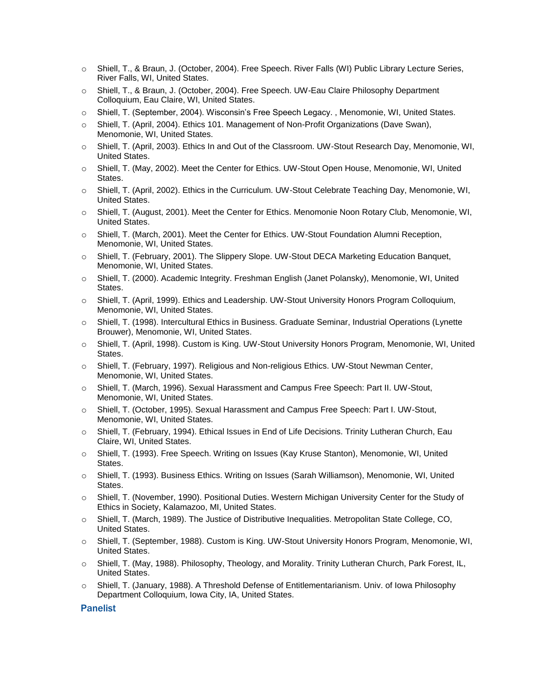- o Shiell, T., & Braun, J. (October, 2004). Free Speech. River Falls (WI) Public Library Lecture Series, River Falls, WI, United States.
- o Shiell, T., & Braun, J. (October, 2004). Free Speech. UW-Eau Claire Philosophy Department Colloquium, Eau Claire, WI, United States.
- o Shiell, T. (September, 2004). Wisconsin's Free Speech Legacy. , Menomonie, WI, United States.
- o Shiell, T. (April, 2004). Ethics 101. Management of Non-Profit Organizations (Dave Swan), Menomonie, WI, United States.
- o Shiell, T. (April, 2003). Ethics In and Out of the Classroom. UW-Stout Research Day, Menomonie, WI, United States.
- o Shiell, T. (May, 2002). Meet the Center for Ethics. UW-Stout Open House, Menomonie, WI, United States.
- o Shiell, T. (April, 2002). Ethics in the Curriculum. UW-Stout Celebrate Teaching Day, Menomonie, WI, United States.
- o Shiell, T. (August, 2001). Meet the Center for Ethics. Menomonie Noon Rotary Club, Menomonie, WI, United States.
- o Shiell, T. (March, 2001). Meet the Center for Ethics. UW-Stout Foundation Alumni Reception, Menomonie, WI, United States.
- o Shiell, T. (February, 2001). The Slippery Slope. UW-Stout DECA Marketing Education Banquet, Menomonie, WI, United States.
- o Shiell, T. (2000). Academic Integrity. Freshman English (Janet Polansky), Menomonie, WI, United States.
- o Shiell, T. (April, 1999). Ethics and Leadership. UW-Stout University Honors Program Colloquium, Menomonie, WI, United States.
- o Shiell, T. (1998). Intercultural Ethics in Business. Graduate Seminar, Industrial Operations (Lynette Brouwer), Menomonie, WI, United States.
- o Shiell, T. (April, 1998). Custom is King. UW-Stout University Honors Program, Menomonie, WI, United States.
- o Shiell, T. (February, 1997). Religious and Non-religious Ethics. UW-Stout Newman Center, Menomonie, WI, United States.
- o Shiell, T. (March, 1996). Sexual Harassment and Campus Free Speech: Part II. UW-Stout, Menomonie, WI, United States.
- o Shiell, T. (October, 1995). Sexual Harassment and Campus Free Speech: Part I. UW-Stout, Menomonie, WI, United States.
- o Shiell, T. (February, 1994). Ethical Issues in End of Life Decisions. Trinity Lutheran Church, Eau Claire, WI, United States.
- o Shiell, T. (1993). Free Speech. Writing on Issues (Kay Kruse Stanton), Menomonie, WI, United States.
- o Shiell, T. (1993). Business Ethics. Writing on Issues (Sarah Williamson), Menomonie, WI, United States.
- o Shiell, T. (November, 1990). Positional Duties. Western Michigan University Center for the Study of Ethics in Society, Kalamazoo, MI, United States.
- o Shiell, T. (March, 1989). The Justice of Distributive Inequalities. Metropolitan State College, CO, United States.
- o Shiell, T. (September, 1988). Custom is King. UW-Stout University Honors Program, Menomonie, WI, United States.
- o Shiell, T. (May, 1988). Philosophy, Theology, and Morality. Trinity Lutheran Church, Park Forest, IL, United States.
- o Shiell, T. (January, 1988). A Threshold Defense of Entitlementarianism. Univ. of Iowa Philosophy Department Colloquium, Iowa City, IA, United States.

#### Panelist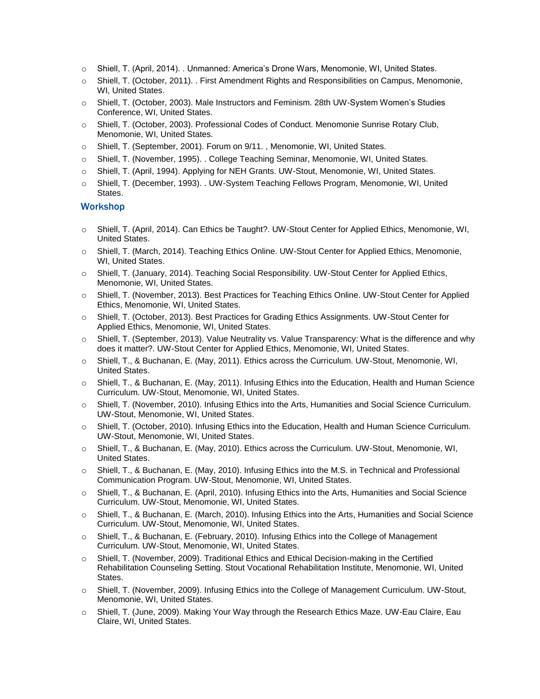- o Shiell, T. (April, 2014). . Unmanned: America's Drone Wars, Menomonie, WI, United States.
- o Shiell, T. (October, 2011). . First Amendment Rights and Responsibilities on Campus, Menomonie, WI, United States.
- o Shiell, T. (October, 2003). Male Instructors and Feminism. 28th UW-System Women's Studies Conference, WI, United States.
- o Shiell, T. (October, 2003). Professional Codes of Conduct. Menomonie Sunrise Rotary Club, Menomonie, WI, United States.
- o Shiell, T. (September, 2001). Forum on 9/11. , Menomonie, WI, United States.
- o Shiell, T. (November, 1995). . College Teaching Seminar, Menomonie, WI, United States.
- o Shiell, T. (April, 1994). Applying for NEH Grants. UW-Stout, Menomonie, WI, United States.
- o Shiell, T. (December, 1993). . UW-System Teaching Fellows Program, Menomonie, WI, United States.

#### Workshop

- o Shiell, T. (April, 2014). Can Ethics be Taught?. UW-Stout Center for Applied Ethics, Menomonie, WI, United States.
- o Shiell, T. (March, 2014). Teaching Ethics Online. UW-Stout Center for Applied Ethics, Menomonie, WI, United States.
- o Shiell, T. (January, 2014). Teaching Social Responsibility. UW-Stout Center for Applied Ethics, Menomonie, WI, United States.
- o Shiell, T. (November, 2013). Best Practices for Teaching Ethics Online. UW-Stout Center for Applied Ethics, Menomonie, WI, United States.
- o Shiell, T. (October, 2013). Best Practices for Grading Ethics Assignments. UW-Stout Center for Applied Ethics, Menomonie, WI, United States.
- o Shiell, T. (September, 2013). Value Neutrality vs. Value Transparency: What is the difference and why does it matter?. UW-Stout Center for Applied Ethics, Menomonie, WI, United States.
- o Shiell, T., & Buchanan, E. (May, 2011). Ethics across the Curriculum. UW-Stout, Menomonie, WI, United States.
- o Shiell, T., & Buchanan, E. (May, 2011). Infusing Ethics into the Education, Health and Human Science Curriculum. UW-Stout, Menomonie, WI, United States.
- o Shiell, T. (November, 2010). Infusing Ethics into the Arts, Humanities and Social Science Curriculum. UW-Stout, Menomonie, WI, United States.
- o Shiell, T. (October, 2010). Infusing Ethics into the Education, Health and Human Science Curriculum. UW-Stout, Menomonie, WI, United States.
- o Shiell, T., & Buchanan, E. (May, 2010). Ethics across the Curriculum. UW-Stout, Menomonie, WI, United States.
- o Shiell, T., & Buchanan, E. (May, 2010). Infusing Ethics into the M.S. in Technical and Professional Communication Program. UW-Stout, Menomonie, WI, United States.
- o Shiell, T., & Buchanan, E. (April, 2010). Infusing Ethics into the Arts, Humanities and Social Science Curriculum. UW-Stout, Menomonie, WI, United States.
- o Shiell, T., & Buchanan, E. (March, 2010). Infusing Ethics into the Arts, Humanities and Social Science Curriculum. UW-Stout, Menomonie, WI, United States.
- o Shiell, T., & Buchanan, E. (February, 2010). Infusing Ethics into the College of Management Curriculum. UW-Stout, Menomonie, WI, United States.
- Shiell, T. (November, 2009). Traditional Ethics and Ethical Decision-making in the Certified Rehabilitation Counseling Setting. Stout Vocational Rehabilitation Institute, Menomonie, WI, United States.
- o Shiell, T. (November, 2009). Infusing Ethics into the College of Management Curriculum. UW-Stout, Menomonie, WI, United States.
- Shiell, T. (June, 2009). Making Your Way through the Research Ethics Maze. UW-Eau Claire, Eau Claire, WI, United States.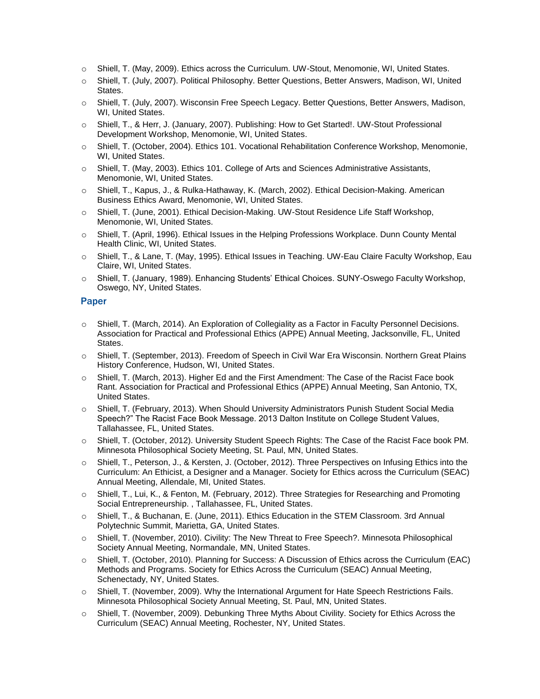- o Shiell, T. (May, 2009). Ethics across the Curriculum. UW-Stout, Menomonie, WI, United States.
- o Shiell, T. (July, 2007). Political Philosophy. Better Questions, Better Answers, Madison, WI, United States.
- o Shiell, T. (July, 2007). Wisconsin Free Speech Legacy. Better Questions, Better Answers, Madison, WI, United States.
- o Shiell, T., & Herr, J. (January, 2007). Publishing: How to Get Started!. UW-Stout Professional Development Workshop, Menomonie, WI, United States.
- o Shiell, T. (October, 2004). Ethics 101. Vocational Rehabilitation Conference Workshop, Menomonie, WI, United States.
- o Shiell, T. (May, 2003). Ethics 101. College of Arts and Sciences Administrative Assistants, Menomonie, WI, United States.
- o Shiell, T., Kapus, J., & Rulka-Hathaway, K. (March, 2002). Ethical Decision-Making. American Business Ethics Award, Menomonie, WI, United States.
- o Shiell, T. (June, 2001). Ethical Decision-Making. UW-Stout Residence Life Staff Workshop, Menomonie, WI, United States.
- o Shiell, T. (April, 1996). Ethical Issues in the Helping Professions Workplace. Dunn County Mental Health Clinic, WI, United States.
- o Shiell, T., & Lane, T. (May, 1995). Ethical Issues in Teaching. UW-Eau Claire Faculty Workshop, Eau Claire, WI, United States.
- o Shiell, T. (January, 1989). Enhancing Students' Ethical Choices. SUNY-Oswego Faculty Workshop, Oswego, NY, United States.

#### Paper

- o Shiell, T. (March, 2014). An Exploration of Collegiality as a Factor in Faculty Personnel Decisions. Association for Practical and Professional Ethics (APPE) Annual Meeting, Jacksonville, FL, United States.
- o Shiell, T. (September, 2013). Freedom of Speech in Civil War Era Wisconsin. Northern Great Plains History Conference, Hudson, WI, United States.
- o Shiell, T. (March, 2013). Higher Ed and the First Amendment: The Case of the Racist Face book Rant. Association for Practical and Professional Ethics (APPE) Annual Meeting, San Antonio, TX, United States.
- o Shiell, T. (February, 2013). When Should University Administrators Punish Student Social Media Speech?" The Racist Face Book Message. 2013 Dalton Institute on College Student Values, Tallahassee, FL, United States.
- o Shiell, T. (October, 2012). University Student Speech Rights: The Case of the Racist Face book PM. Minnesota Philosophical Society Meeting, St. Paul, MN, United States.
- o Shiell, T., Peterson, J., & Kersten, J. (October, 2012). Three Perspectives on Infusing Ethics into the Curriculum: An Ethicist, a Designer and a Manager. Society for Ethics across the Curriculum (SEAC) Annual Meeting, Allendale, MI, United States.
- o Shiell, T., Lui, K., & Fenton, M. (February, 2012). Three Strategies for Researching and Promoting Social Entrepreneurship. , Tallahassee, FL, United States.
- o Shiell, T., & Buchanan, E. (June, 2011). Ethics Education in the STEM Classroom. 3rd Annual Polytechnic Summit, Marietta, GA, United States.
- o Shiell, T. (November, 2010). Civility: The New Threat to Free Speech?. Minnesota Philosophical Society Annual Meeting, Normandale, MN, United States.
- o Shiell, T. (October, 2010). Planning for Success: A Discussion of Ethics across the Curriculum (EAC) Methods and Programs. Society for Ethics Across the Curriculum (SEAC) Annual Meeting, Schenectady, NY, United States.
- o Shiell, T. (November, 2009). Why the International Argument for Hate Speech Restrictions Fails. Minnesota Philosophical Society Annual Meeting, St. Paul, MN, United States.
- o Shiell, T. (November, 2009). Debunking Three Myths About Civility. Society for Ethics Across the Curriculum (SEAC) Annual Meeting, Rochester, NY, United States.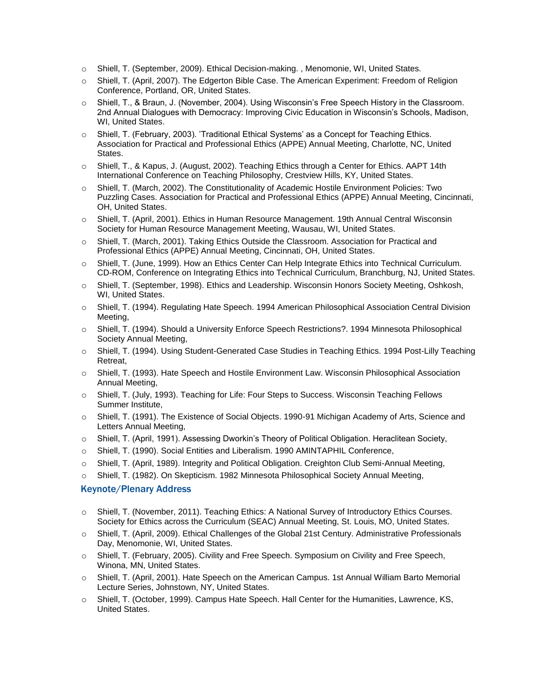- o Shiell, T. (September, 2009). Ethical Decision-making. , Menomonie, WI, United States.
- o Shiell, T. (April, 2007). The Edgerton Bible Case. The American Experiment: Freedom of Religion Conference, Portland, OR, United States.
- o Shiell, T., & Braun, J. (November, 2004). Using Wisconsin's Free Speech History in the Classroom. 2nd Annual Dialogues with Democracy: Improving Civic Education in Wisconsin's Schools, Madison, WI, United States.
- $\circ$  Shiell, T. (February, 2003). 'Traditional Ethical Systems' as a Concept for Teaching Ethics. Association for Practical and Professional Ethics (APPE) Annual Meeting, Charlotte, NC, United States.
- o Shiell, T., & Kapus, J. (August, 2002). Teaching Ethics through a Center for Ethics. AAPT 14th International Conference on Teaching Philosophy, Crestview Hills, KY, United States.
- o Shiell, T. (March, 2002). The Constitutionality of Academic Hostile Environment Policies: Two Puzzling Cases. Association for Practical and Professional Ethics (APPE) Annual Meeting, Cincinnati, OH, United States.
- o Shiell, T. (April, 2001). Ethics in Human Resource Management. 19th Annual Central Wisconsin Society for Human Resource Management Meeting, Wausau, WI, United States.
- o Shiell, T. (March, 2001). Taking Ethics Outside the Classroom. Association for Practical and Professional Ethics (APPE) Annual Meeting, Cincinnati, OH, United States.
- o Shiell, T. (June, 1999). How an Ethics Center Can Help Integrate Ethics into Technical Curriculum. CD-ROM, Conference on Integrating Ethics into Technical Curriculum, Branchburg, NJ, United States.
- o Shiell, T. (September, 1998). Ethics and Leadership. Wisconsin Honors Society Meeting, Oshkosh, WI, United States.
- o Shiell, T. (1994). Regulating Hate Speech. 1994 American Philosophical Association Central Division Meeting,
- o Shiell, T. (1994). Should a University Enforce Speech Restrictions?. 1994 Minnesota Philosophical Society Annual Meeting,
- o Shiell, T. (1994). Using Student-Generated Case Studies in Teaching Ethics. 1994 Post-Lilly Teaching Retreat,
- o Shiell, T. (1993). Hate Speech and Hostile Environment Law. Wisconsin Philosophical Association Annual Meeting,
- o Shiell, T. (July, 1993). Teaching for Life: Four Steps to Success. Wisconsin Teaching Fellows Summer Institute,
- o Shiell, T. (1991). The Existence of Social Objects. 1990-91 Michigan Academy of Arts, Science and Letters Annual Meeting,
- o Shiell, T. (April, 1991). Assessing Dworkin's Theory of Political Obligation. Heraclitean Society,
- o Shiell, T. (1990). Social Entities and Liberalism. 1990 AMINTAPHIL Conference,
- o Shiell, T. (April, 1989). Integrity and Political Obligation. Creighton Club Semi-Annual Meeting,
- o Shiell, T. (1982). On Skepticism. 1982 Minnesota Philosophical Society Annual Meeting,

#### Keynote/Plenary Address

- o Shiell, T. (November, 2011). Teaching Ethics: A National Survey of Introductory Ethics Courses. Society for Ethics across the Curriculum (SEAC) Annual Meeting, St. Louis, MO, United States.
- o Shiell, T. (April, 2009). Ethical Challenges of the Global 21st Century. Administrative Professionals Day, Menomonie, WI, United States.
- o Shiell, T. (February, 2005). Civility and Free Speech. Symposium on Civility and Free Speech, Winona, MN, United States.
- o Shiell, T. (April, 2001). Hate Speech on the American Campus. 1st Annual William Barto Memorial Lecture Series, Johnstown, NY, United States.
- o Shiell, T. (October, 1999). Campus Hate Speech. Hall Center for the Humanities, Lawrence, KS, United States.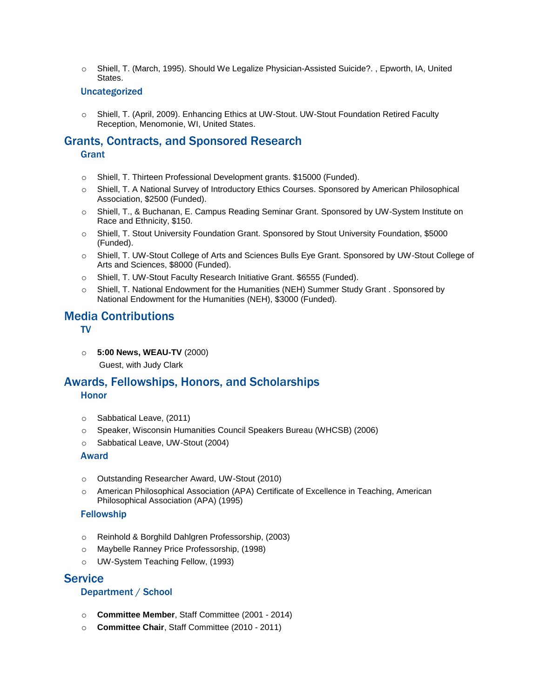o Shiell, T. (March, 1995). Should We Legalize Physician-Assisted Suicide?. , Epworth, IA, United States.

#### Uncategorized

o Shiell, T. (April, 2009). Enhancing Ethics at UW-Stout. UW-Stout Foundation Retired Faculty Reception, Menomonie, WI, United States.

# Grants, Contracts, and Sponsored Research

## **Grant**

- o Shiell, T. Thirteen Professional Development grants. \$15000 (Funded).
- o Shiell, T. A National Survey of Introductory Ethics Courses. Sponsored by American Philosophical Association, \$2500 (Funded).
- o Shiell, T., & Buchanan, E. Campus Reading Seminar Grant. Sponsored by UW-System Institute on Race and Ethnicity, \$150.
- o Shiell, T. Stout University Foundation Grant. Sponsored by Stout University Foundation, \$5000 (Funded).
- o Shiell, T. UW-Stout College of Arts and Sciences Bulls Eye Grant. Sponsored by UW-Stout College of Arts and Sciences, \$8000 (Funded).
- o Shiell, T. UW-Stout Faculty Research Initiative Grant. \$6555 (Funded).
- o Shiell, T. National Endowment for the Humanities (NEH) Summer Study Grant . Sponsored by National Endowment for the Humanities (NEH), \$3000 (Funded).

# Media Contributions

TV

o **5:00 News, WEAU-TV** (2000)

Guest, with Judy Clark

# Awards, Fellowships, Honors, and Scholarships

# Honor

- o Sabbatical Leave, (2011)
- o Speaker, Wisconsin Humanities Council Speakers Bureau (WHCSB) (2006)
- o Sabbatical Leave, UW-Stout (2004)

## Award

- o Outstanding Researcher Award, UW-Stout (2010)
- o American Philosophical Association (APA) Certificate of Excellence in Teaching, American Philosophical Association (APA) (1995)

## Fellowship

- o Reinhold & Borghild Dahlgren Professorship, (2003)
- o Maybelle Ranney Price Professorship, (1998)
- o UW-System Teaching Fellow, (1993)

# **Service**

# Department / School

- o **Committee Member**, Staff Committee (2001 2014)
- o **Committee Chair**, Staff Committee (2010 2011)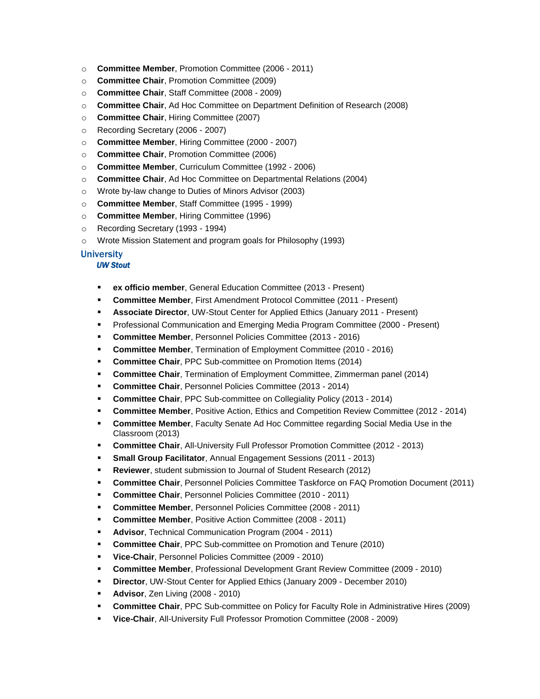- o **Committee Member**, Promotion Committee (2006 2011)
- o **Committee Chair**, Promotion Committee (2009)
- o **Committee Chair**, Staff Committee (2008 2009)
- o **Committee Chair**, Ad Hoc Committee on Department Definition of Research (2008)
- o **Committee Chair**, Hiring Committee (2007)
- o Recording Secretary (2006 2007)
- o **Committee Member**, Hiring Committee (2000 2007)
- o **Committee Chair**, Promotion Committee (2006)
- o **Committee Member**, Curriculum Committee (1992 2006)
- o **Committee Chair**, Ad Hoc Committee on Departmental Relations (2004)
- o Wrote by-law change to Duties of Minors Advisor (2003)
- o **Committee Member**, Staff Committee (1995 1999)
- o **Committee Member**, Hiring Committee (1996)
- o Recording Secretary (1993 1994)
- o Wrote Mission Statement and program goals for Philosophy (1993)

## **University**

#### *UW Stout*

- **ex officio member**, General Education Committee (2013 Present)
- **Committee Member**, First Amendment Protocol Committee (2011 Present)
- **Associate Director**, UW-Stout Center for Applied Ethics (January 2011 Present)
- Professional Communication and Emerging Media Program Committee (2000 Present)
- **Committee Member**, Personnel Policies Committee (2013 2016)
- **Committee Member**, Termination of Employment Committee (2010 2016)
- **Committee Chair**, PPC Sub-committee on Promotion Items (2014)
- **Committee Chair**, Termination of Employment Committee, Zimmerman panel (2014)
- **Committee Chair, Personnel Policies Committee (2013 2014)**
- **Committee Chair**, PPC Sub-committee on Collegiality Policy (2013 2014)
- **Committee Member**, Positive Action, Ethics and Competition Review Committee (2012 2014)
- **Committee Member**, Faculty Senate Ad Hoc Committee regarding Social Media Use in the Classroom (2013)
- **Committee Chair**, All-University Full Professor Promotion Committee (2012 2013)
- **Small Group Facilitator, Annual Engagement Sessions (2011 2013)**
- **Reviewer**, student submission to Journal of Student Research (2012)
- **Committee Chair**, Personnel Policies Committee Taskforce on FAQ Promotion Document (2011)
- Committee Chair, Personnel Policies Committee (2010 2011)
- **Committee Member**, Personnel Policies Committee (2008 2011)
- **Committee Member, Positive Action Committee (2008 2011)**
- Advisor, Technical Communication Program (2004 2011)
- **Committee Chair, PPC Sub-committee on Promotion and Tenure (2010)**
- **Vice-Chair**, Personnel Policies Committee (2009 2010)
- **Committee Member**, Professional Development Grant Review Committee (2009 2010)
- **Director**, UW-Stout Center for Applied Ethics (January 2009 December 2010)
- **Advisor**, Zen Living (2008 2010)
- **Committee Chair**, PPC Sub-committee on Policy for Faculty Role in Administrative Hires (2009)
- **Vice-Chair**, All-University Full Professor Promotion Committee (2008 2009)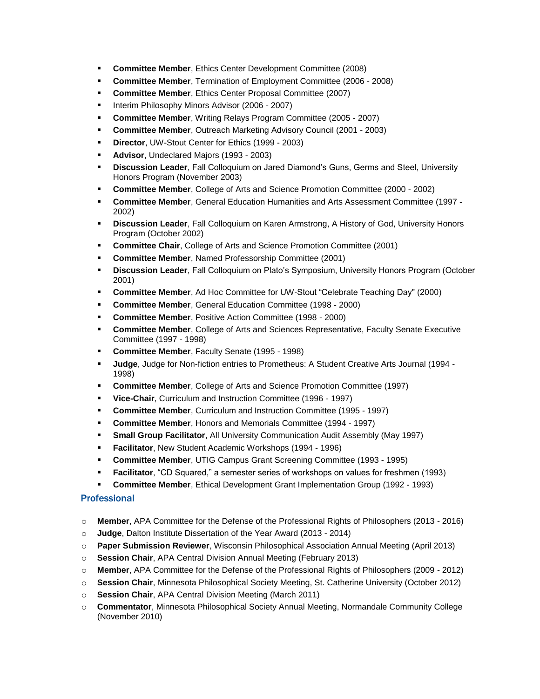- **Committee Member**, Ethics Center Development Committee (2008)
- **Committee Member, Termination of Employment Committee (2006 2008)**
- **Committee Member, Ethics Center Proposal Committee (2007)**
- Interim Philosophy Minors Advisor (2006 2007)
- **Committee Member**, Writing Relays Program Committee (2005 2007)
- **Committee Member, Outreach Marketing Advisory Council (2001 2003)**
- **Director**, UW-Stout Center for Ethics (1999 2003)
- **Advisor**, Undeclared Majors (1993 2003)
- **Discussion Leader**, Fall Colloquium on Jared Diamond's Guns, Germs and Steel, University Honors Program (November 2003)
- **Committee Member**, College of Arts and Science Promotion Committee (2000 2002)
- **Committee Member**, General Education Humanities and Arts Assessment Committee (1997 2002)
- **Discussion Leader**, Fall Colloquium on Karen Armstrong, A History of God, University Honors Program (October 2002)
- **Committee Chair**, College of Arts and Science Promotion Committee (2001)
- **Committee Member, Named Professorship Committee (2001)**
- **Discussion Leader**, Fall Colloquium on Plato's Symposium, University Honors Program (October 2001)
- **Committee Member**, Ad Hoc Committee for UW-Stout "Celebrate Teaching Day" (2000)
- **Committee Member**, General Education Committee (1998 2000)
- **Committee Member, Positive Action Committee (1998 2000)**
- **EXECOMMITTEE Member, College of Arts and Sciences Representative, Faculty Senate Executive** Committee (1997 - 1998)
- **Committee Member, Faculty Senate (1995 1998)**
- **Judge**, Judge for Non-fiction entries to Prometheus: A Student Creative Arts Journal (1994 1998)
- **Committee Member, College of Arts and Science Promotion Committee (1997)**
- **Vice-Chair**, Curriculum and Instruction Committee (1996 1997)
- **Committee Member**, Curriculum and Instruction Committee (1995 1997)
- **Committee Member**, Honors and Memorials Committee (1994 1997)
- **EXECT And Service Facilitator**, All University Communication Audit Assembly (May 1997)
- **Facilitator**, New Student Academic Workshops (1994 1996)
- **Committee Member**, UTIG Campus Grant Screening Committee (1993 1995)
- **Facilitator**, "CD Squared," a semester series of workshops on values for freshmen (1993)
- **Committee Member**, Ethical Development Grant Implementation Group (1992 1993)

## **Professional**

- o **Member**, APA Committee for the Defense of the Professional Rights of Philosophers (2013 2016)
- o **Judge**, Dalton Institute Dissertation of the Year Award (2013 2014)
- o **Paper Submission Reviewer**, Wisconsin Philosophical Association Annual Meeting (April 2013)
- o **Session Chair**, APA Central Division Annual Meeting (February 2013)
- o **Member**, APA Committee for the Defense of the Professional Rights of Philosophers (2009 2012)
- o **Session Chair**, Minnesota Philosophical Society Meeting, St. Catherine University (October 2012)
- o **Session Chair**, APA Central Division Meeting (March 2011)
- o **Commentator**, Minnesota Philosophical Society Annual Meeting, Normandale Community College (November 2010)